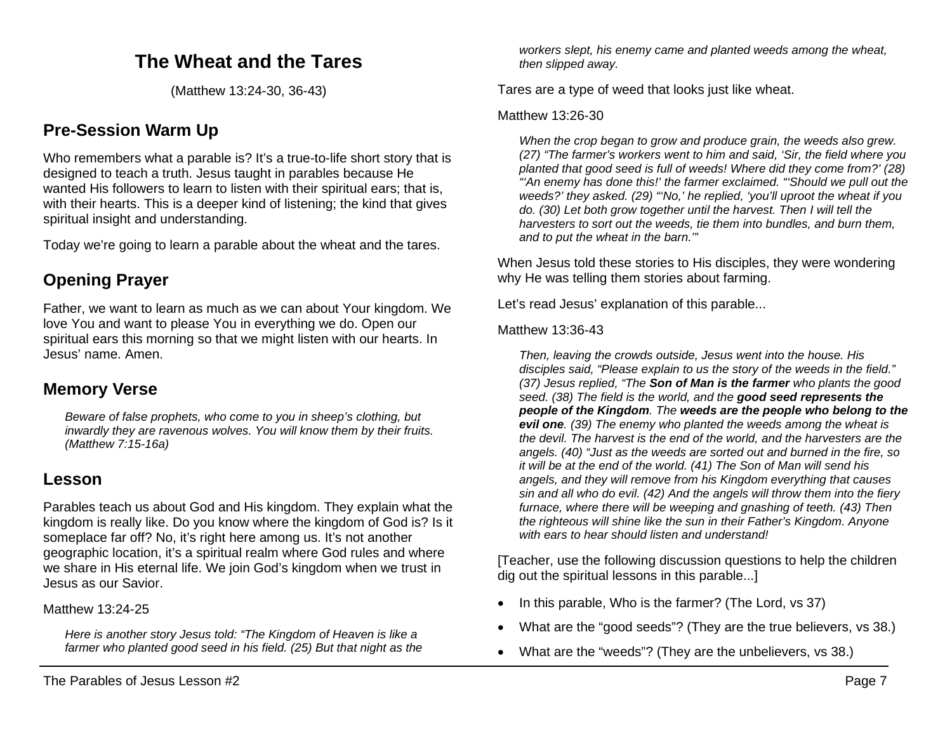# **The Wheat and the Tares**

(Matthew 13:24-30, 36-43)

## **Pre-Session Warm Up**

Who remembers what a parable is? It's a true-to-life short story that is designed to teach a truth. Jesus taught in parables because He wanted His followers to learn to listen with their spiritual ears; that is, with their hearts. This is a deeper kind of listening; the kind that gives spiritual insight and understanding.

Today we're going to learn a parable about the wheat and the tares.

# **Opening Prayer**

Father, we want to learn as much as we can about Your kingdom. We love You and want to please You in everything we do. Open our spiritual ears this morning so that we might listen with our hearts. In Jesus' name. Amen.

### **Memory Verse**

*Beware of false prophets, who come to you in sheep's clothing, but inwardly they are ravenous wolves. You will know them by their fruits. (Matthew 7:15-16a)* 

### **Lesson**

Parables teach us about God and His kingdom. They explain what the kingdom is really like. Do you know where the kingdom of God is? Is it someplace far off? No, it's right here among us. It's not another geographic location, it's a spiritual realm where God rules and where we share in His eternal life. We join God's kingdom when we trust in Jesus as our Savior.

Matthew 13:24-25

*Here is another story Jesus told: "The Kingdom of Heaven is like a farmer who planted good seed in his field. (25) But that night as the* 

*workers slept, his enemy came and planted weeds among the wheat, then slipped away.*

Tares are a type of weed that looks just like wheat.

#### Matthew 13:26-30

*When the crop began to grow and produce grain, the weeds also grew. (27) "The farmer's workers went to him and said, 'Sir, the field where you planted that good seed is full of weeds! Where did they come from?' (28) "'An enemy has done this!' the farmer exclaimed. "'Should we pull out the weeds?' they asked. (29) "'No,' he replied, 'you'll uproot the wheat if you do. (30) Let both grow together until the harvest. Then I will tell the harvesters to sort out the weeds, tie them into bundles, and burn them, and to put the wheat in the barn.'"*

When Jesus told these stories to His disciples, they were wondering why He was telling them stories about farming.

Let's read Jesus' explanation of this parable...

#### Matthew 13:36-43

*Then, leaving the crowds outside, Jesus went into the house. His disciples said, "Please explain to us the story of the weeds in the field." (37) Jesus replied, "The Son of Man is the farmer who plants the good seed. (38) The field is the world, and the good seed represents the people of the Kingdom. The weeds are the people who belong to the evil one. (39) The enemy who planted the weeds among the wheat is the devil. The harvest is the end of the world, and the harvesters are the angels. (40) "Just as the weeds are sorted out and burned in the fire, so it will be at the end of the world. (41) The Son of Man will send his angels, and they will remove from his Kingdom everything that causes sin and all who do evil. (42) And the angels will throw them into the fiery furnace, where there will be weeping and gnashing of teeth. (43) Then the righteous will shine like the sun in their Father's Kingdom. Anyone with ears to hear should listen and understand!*

[Teacher, use the following discussion questions to help the children dig out the spiritual lessons in this parable...]

- In this parable, Who is the farmer? (The Lord, vs 37)
- What are the "good seeds"? (They are the true believers, vs 38.)
- What are the "weeds"? (They are the unbelievers, vs 38.)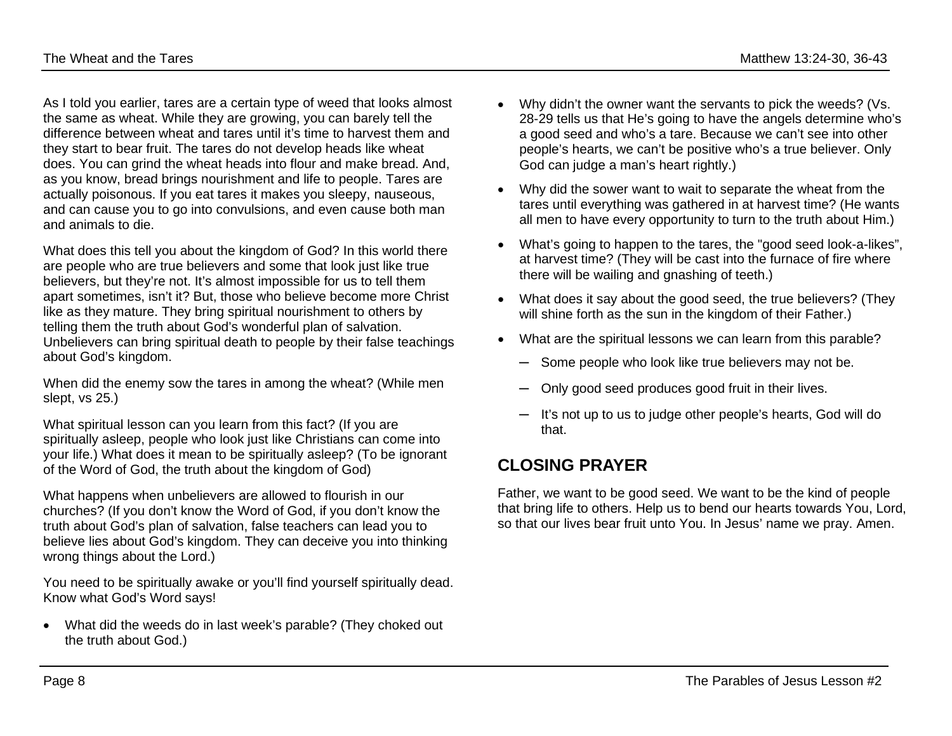As I told you earlier, tares are a certain type of weed that looks almost the same as wheat. While they are growing, you can barely tell the difference between wheat and tares until it's time to harvest them and they start to bear fruit. The tares do not develop heads like wheat does. You can grind the wheat heads into flour and make bread. And, as you know, bread brings nourishment and life to people. Tares are actually poisonous. If you eat tares it makes you sleepy, nauseous, and can cause you to go into convulsions, and even cause both man and animals to die.

What does this tell you about the kingdom of God? In this world there are people who are true believers and some that look just like true believers, but they're not. It's almost impossible for us to tell them apart sometimes, isn't it? But, those who believe become more Christ like as they mature. They bring spiritual nourishment to others by telling them the truth about God's wonderful plan of salvation. Unbelievers can bring spiritual death to people by their false teachings about God's kingdom.

When did the enemy sow the tares in among the wheat? (While men slept, vs 25.)

What spiritual lesson can you learn from this fact? (If you are spiritually asleep, people who look just like Christians can come into your life.) What does it mean to be spiritually asleep? (To be ignorant of the Word of God, the truth about the kingdom of God)

What happens when unbelievers are allowed to flourish in our churches? (If you don't know the Word of God, if you don't know the truth about God's plan of salvation, false teachers can lead you to believe lies about God's kingdom. They can deceive you into thinking wrong things about the Lord.)

You need to be spiritually awake or you'll find yourself spiritually dead. Know what God's Word says!

• What did the weeds do in last week's parable? (They choked out the truth about God.)

- Why didn't the owner want the servants to pick the weeds? (Vs. 28-29 tells us that He's going to have the angels determine who's a good seed and who's a tare. Because we can't see into other people's hearts, we can't be positive who's a true believer. Only God can judge a man's heart rightly.)
- Why did the sower want to wait to separate the wheat from the tares until everything was gathered in at harvest time? (He wants all men to have every opportunity to turn to the truth about Him.)
- What's going to happen to the tares, the "good seed look-a-likes", at harvest time? (They will be cast into the furnace of fire where there will be wailing and gnashing of teeth.)
- What does it say about the good seed, the true believers? (They will shine forth as the sun in the kingdom of their Father.)
- What are the spiritual lessons we can learn from this parable?
	- ─ Some people who look like true believers may not be.
	- Only good seed produces good fruit in their lives.
	- ─ It's not up to us to judge other people's hearts, God will do that.

# **CLOSING PRAYER**

Father, we want to be good seed. We want to be the kind of people that bring life to others. Help us to bend our hearts towards You, Lord, so that our lives bear fruit unto You. In Jesus' name we pray. Amen.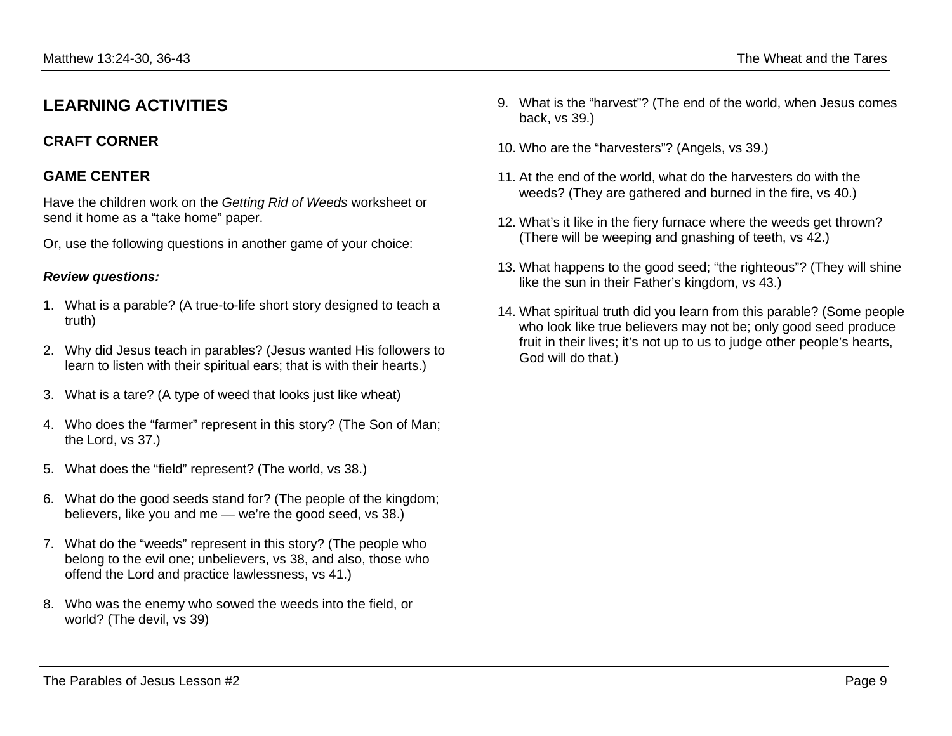# **LEARNING ACTIVITIES**

### **CRAFT CORNER**

#### **GAME CENTER**

Have the children work on the *Getting Rid of Weeds* worksheet or send it home as a "take home" paper.

Or, use the following questions in another game of your choice:

#### *Review questions:*

- 1. What is a parable? (A true-to-life short story designed to teach a truth)
- 2. Why did Jesus teach in parables? (Jesus wanted His followers to learn to listen with their spiritual ears; that is with their hearts.)
- 3. What is a tare? (A type of weed that looks just like wheat)
- 4. Who does the "farmer" represent in this story? (The Son of Man; the Lord, vs 37.)
- 5. What does the "field" represent? (The world, vs 38.)
- 6. What do the good seeds stand for? (The people of the kingdom; believers, like you and me — we're the good seed, vs 38.)
- 7. What do the "weeds" represent in this story? (The people who belong to the evil one; unbelievers, vs 38, and also, those who offend the Lord and practice lawlessness, vs 41.)
- 8. Who was the enemy who sowed the weeds into the field, or world? (The devil, vs 39)
- 9. What is the "harvest"? (The end of the world, when Jesus comes back, vs 39.)
- 10. Who are the "harvesters"? (Angels, vs 39.)
- 11. At the end of the world, what do the harvesters do with the weeds? (They are gathered and burned in the fire, vs 40.)
- 12. What's it like in the fiery furnace where the weeds get thrown? (There will be weeping and gnashing of teeth, vs 42.)
- 13. What happens to the good seed; "the righteous"? (They will shine like the sun in their Father's kingdom, vs 43.)
- 14. What spiritual truth did you learn from this parable? (Some people who look like true believers may not be; only good seed produce fruit in their lives; it's not up to us to judge other people's hearts, God will do that.)